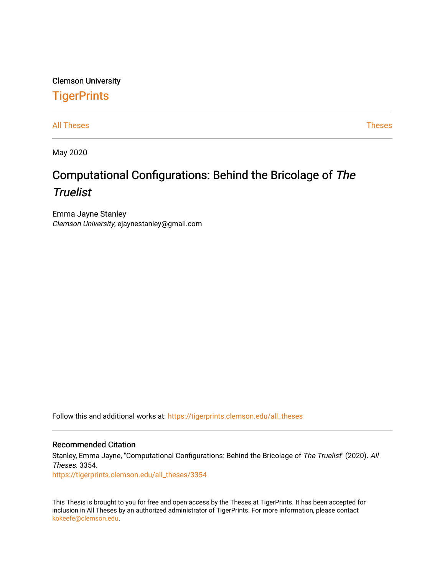# Clemson University

# **TigerPrints**

[All Theses](https://tigerprints.clemson.edu/all_theses) **Theses** [Theses](https://tigerprints.clemson.edu/theses) **Theses** 

May 2020

# Computational Configurations: Behind the Bricolage of The **Truelist**

Emma Jayne Stanley Clemson University, ejaynestanley@gmail.com

Follow this and additional works at: [https://tigerprints.clemson.edu/all\\_theses](https://tigerprints.clemson.edu/all_theses?utm_source=tigerprints.clemson.edu%2Fall_theses%2F3354&utm_medium=PDF&utm_campaign=PDFCoverPages) 

#### Recommended Citation

Stanley, Emma Jayne, "Computational Configurations: Behind the Bricolage of The Truelist" (2020). All Theses. 3354.

[https://tigerprints.clemson.edu/all\\_theses/3354](https://tigerprints.clemson.edu/all_theses/3354?utm_source=tigerprints.clemson.edu%2Fall_theses%2F3354&utm_medium=PDF&utm_campaign=PDFCoverPages) 

This Thesis is brought to you for free and open access by the Theses at TigerPrints. It has been accepted for inclusion in All Theses by an authorized administrator of TigerPrints. For more information, please contact [kokeefe@clemson.edu](mailto:kokeefe@clemson.edu).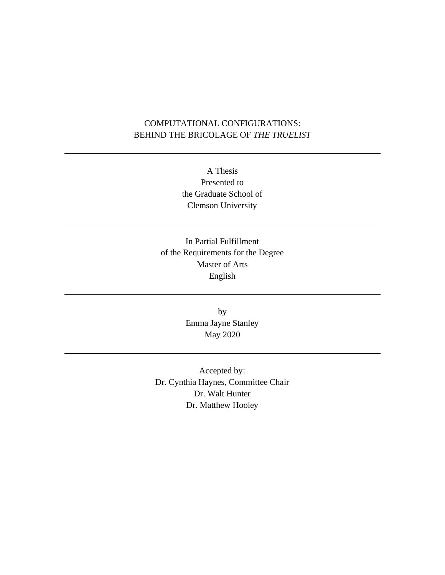# COMPUTATIONAL CONFIGURATIONS: BEHIND THE BRICOLAGE OF *THE TRUELIST*

A Thesis Presented to the Graduate School of Clemson University

In Partial Fulfillment of the Requirements for the Degree Master of Arts English

> by Emma Jayne Stanley May 2020

Accepted by: Dr. Cynthia Haynes, Committee Chair Dr. Walt Hunter Dr. Matthew Hooley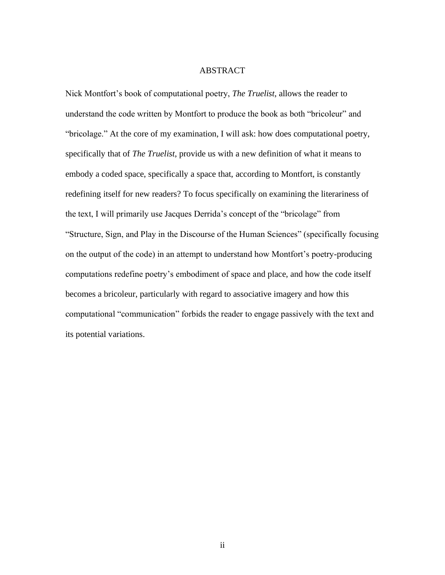#### ABSTRACT

Nick Montfort's book of computational poetry, *The Truelist*, allows the reader to understand the code written by Montfort to produce the book as both "bricoleur" and "bricolage." At the core of my examination, I will ask: how does computational poetry, specifically that of *The Truelist*, provide us with a new definition of what it means to embody a coded space, specifically a space that, according to Montfort, is constantly redefining itself for new readers? To focus specifically on examining the literariness of the text, I will primarily use Jacques Derrida's concept of the "bricolage" from "Structure, Sign, and Play in the Discourse of the Human Sciences" (specifically focusing on the output of the code) in an attempt to understand how Montfort's poetry-producing computations redefine poetry's embodiment of space and place, and how the code itself becomes a bricoleur, particularly with regard to associative imagery and how this computational "communication" forbids the reader to engage passively with the text and its potential variations.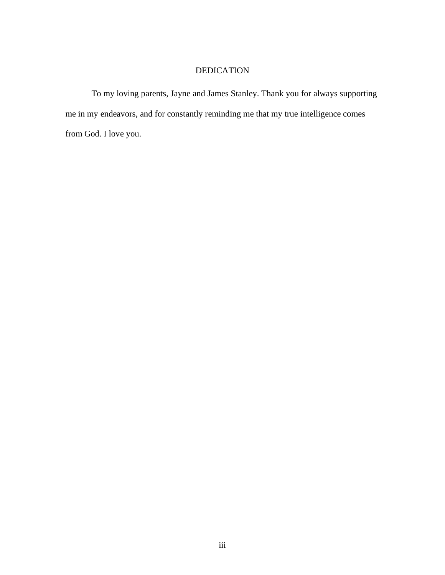# DEDICATION

To my loving parents, Jayne and James Stanley. Thank you for always supporting me in my endeavors, and for constantly reminding me that my true intelligence comes from God. I love you.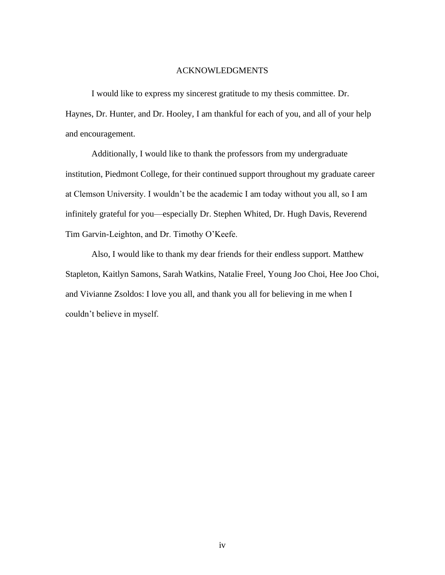#### ACKNOWLEDGMENTS

I would like to express my sincerest gratitude to my thesis committee. Dr. Haynes, Dr. Hunter, and Dr. Hooley, I am thankful for each of you, and all of your help and encouragement.

Additionally, I would like to thank the professors from my undergraduate institution, Piedmont College, for their continued support throughout my graduate career at Clemson University. I wouldn't be the academic I am today without you all, so I am infinitely grateful for you—especially Dr. Stephen Whited, Dr. Hugh Davis, Reverend Tim Garvin-Leighton, and Dr. Timothy O'Keefe.

Also, I would like to thank my dear friends for their endless support. Matthew Stapleton, Kaitlyn Samons, Sarah Watkins, Natalie Freel, Young Joo Choi, Hee Joo Choi, and Vivianne Zsoldos: I love you all, and thank you all for believing in me when I couldn't believe in myself.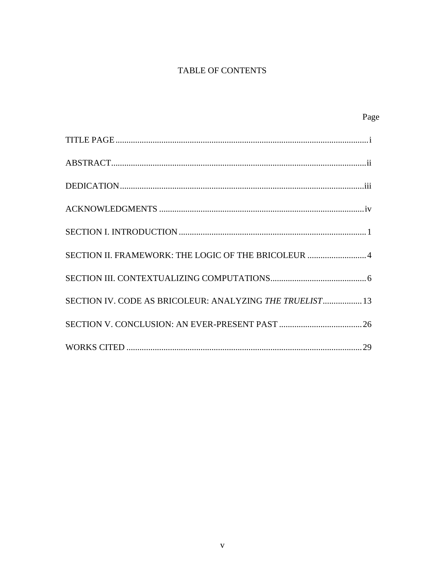# TABLE OF CONTENTS

| Page                                                     |  |
|----------------------------------------------------------|--|
|                                                          |  |
|                                                          |  |
|                                                          |  |
|                                                          |  |
|                                                          |  |
| SECTION II. FRAMEWORK: THE LOGIC OF THE BRICOLEUR  4     |  |
|                                                          |  |
| SECTION IV. CODE AS BRICOLEUR: ANALYZING THE TRUELIST 13 |  |
|                                                          |  |
|                                                          |  |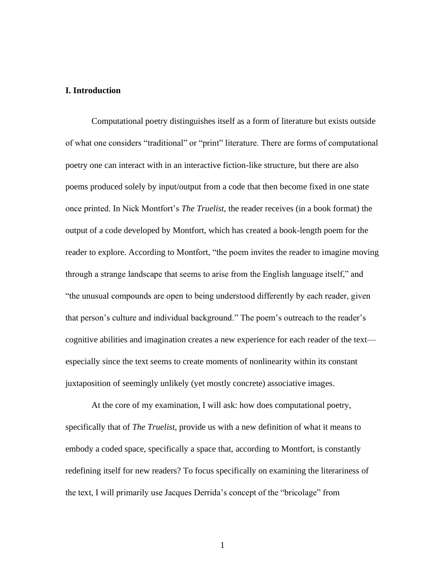#### **I. Introduction**

Computational poetry distinguishes itself as a form of literature but exists outside of what one considers "traditional" or "print" literature. There are forms of computational poetry one can interact with in an interactive fiction-like structure, but there are also poems produced solely by input/output from a code that then become fixed in one state once printed. In Nick Montfort's *The Truelist*, the reader receives (in a book format) the output of a code developed by Montfort, which has created a book-length poem for the reader to explore. According to Montfort, "the poem invites the reader to imagine moving through a strange landscape that seems to arise from the English language itself," and "the unusual compounds are open to being understood differently by each reader, given that person's culture and individual background." The poem's outreach to the reader's cognitive abilities and imagination creates a new experience for each reader of the text especially since the text seems to create moments of nonlinearity within its constant juxtaposition of seemingly unlikely (yet mostly concrete) associative images.

At the core of my examination, I will ask: how does computational poetry, specifically that of *The Truelist*, provide us with a new definition of what it means to embody a coded space, specifically a space that, according to Montfort, is constantly redefining itself for new readers? To focus specifically on examining the literariness of the text, I will primarily use Jacques Derrida's concept of the "bricolage" from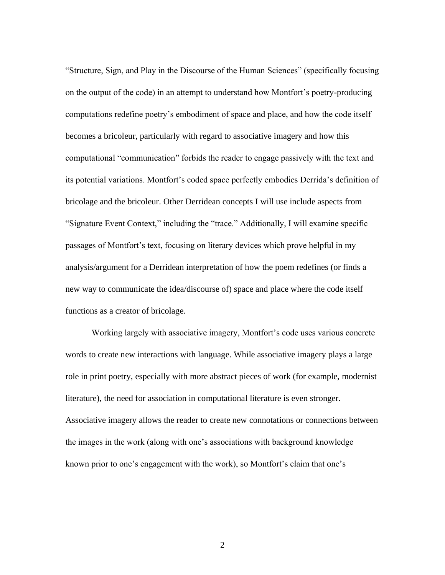"Structure, Sign, and Play in the Discourse of the Human Sciences" (specifically focusing on the output of the code) in an attempt to understand how Montfort's poetry-producing computations redefine poetry's embodiment of space and place, and how the code itself becomes a bricoleur, particularly with regard to associative imagery and how this computational "communication" forbids the reader to engage passively with the text and its potential variations. Montfort's coded space perfectly embodies Derrida's definition of bricolage and the bricoleur. Other Derridean concepts I will use include aspects from "Signature Event Context," including the "trace." Additionally, I will examine specific passages of Montfort's text, focusing on literary devices which prove helpful in my analysis/argument for a Derridean interpretation of how the poem redefines (or finds a new way to communicate the idea/discourse of) space and place where the code itself functions as a creator of bricolage.

Working largely with associative imagery, Montfort's code uses various concrete words to create new interactions with language. While associative imagery plays a large role in print poetry, especially with more abstract pieces of work (for example, modernist literature), the need for association in computational literature is even stronger. Associative imagery allows the reader to create new connotations or connections between the images in the work (along with one's associations with background knowledge known prior to one's engagement with the work), so Montfort's claim that one's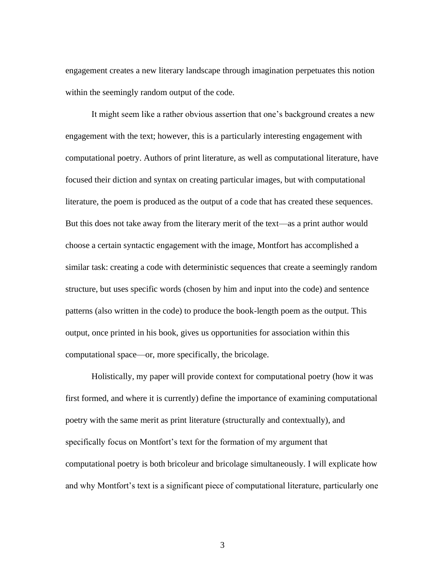engagement creates a new literary landscape through imagination perpetuates this notion within the seemingly random output of the code.

It might seem like a rather obvious assertion that one's background creates a new engagement with the text; however, this is a particularly interesting engagement with computational poetry. Authors of print literature, as well as computational literature, have focused their diction and syntax on creating particular images, but with computational literature, the poem is produced as the output of a code that has created these sequences. But this does not take away from the literary merit of the text—as a print author would choose a certain syntactic engagement with the image, Montfort has accomplished a similar task: creating a code with deterministic sequences that create a seemingly random structure, but uses specific words (chosen by him and input into the code) and sentence patterns (also written in the code) to produce the book-length poem as the output. This output, once printed in his book, gives us opportunities for association within this computational space—or, more specifically, the bricolage.

Holistically, my paper will provide context for computational poetry (how it was first formed, and where it is currently) define the importance of examining computational poetry with the same merit as print literature (structurally and contextually), and specifically focus on Montfort's text for the formation of my argument that computational poetry is both bricoleur and bricolage simultaneously. I will explicate how and why Montfort's text is a significant piece of computational literature, particularly one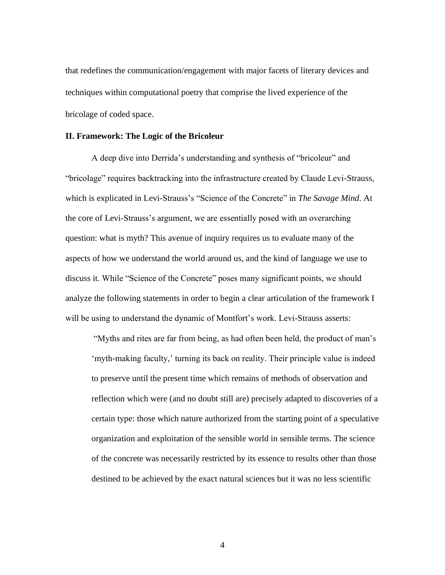that redefines the communication/engagement with major facets of literary devices and techniques within computational poetry that comprise the lived experience of the bricolage of coded space.

#### **II. Framework: The Logic of the Bricoleur**

A deep dive into Derrida's understanding and synthesis of "bricoleur" and "bricolage" requires backtracking into the infrastructure created by Claude Levi-Strauss, which is explicated in Levi-Strauss's "Science of the Concrete" in *The Savage Mind*. At the core of Levi-Strauss's argument, we are essentially posed with an overarching question: what is myth? This avenue of inquiry requires us to evaluate many of the aspects of how we understand the world around us, and the kind of language we use to discuss it. While "Science of the Concrete" poses many significant points, we should analyze the following statements in order to begin a clear articulation of the framework I will be using to understand the dynamic of Montfort's work. Levi-Strauss asserts:

"Myths and rites are far from being, as had often been held, the product of man's 'myth-making faculty,' turning its back on reality. Their principle value is indeed to preserve until the present time which remains of methods of observation and reflection which were (and no doubt still are) precisely adapted to discoveries of a certain type: those which nature authorized from the starting point of a speculative organization and exploitation of the sensible world in sensible terms. The science of the concrete was necessarily restricted by its essence to results other than those destined to be achieved by the exact natural sciences but it was no less scientific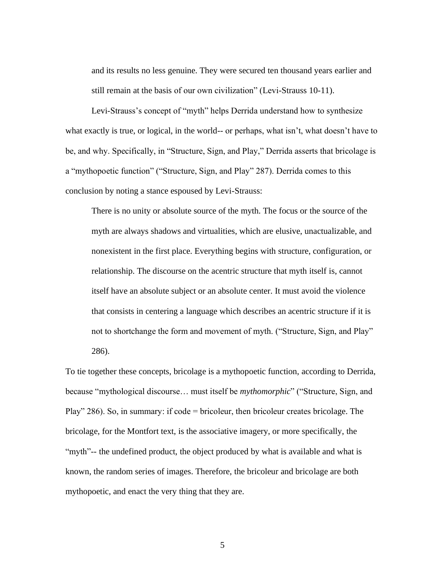and its results no less genuine. They were secured ten thousand years earlier and still remain at the basis of our own civilization" (Levi-Strauss 10-11).

Levi-Strauss's concept of "myth" helps Derrida understand how to synthesize what exactly is true, or logical, in the world-- or perhaps, what isn't, what doesn't have to be, and why. Specifically, in "Structure, Sign, and Play," Derrida asserts that bricolage is a "mythopoetic function" ("Structure, Sign, and Play" 287). Derrida comes to this conclusion by noting a stance espoused by Levi-Strauss:

There is no unity or absolute source of the myth. The focus or the source of the myth are always shadows and virtualities, which are elusive, unactualizable, and nonexistent in the first place. Everything begins with structure, configuration, or relationship. The discourse on the acentric structure that myth itself is, cannot itself have an absolute subject or an absolute center. It must avoid the violence that consists in centering a language which describes an acentric structure if it is not to shortchange the form and movement of myth. ("Structure, Sign, and Play" 286).

To tie together these concepts, bricolage is a mythopoetic function, according to Derrida, because "mythological discourse… must itself be *mythomorphic*" ("Structure, Sign, and Play" 286). So, in summary: if code = bricoleur, then bricoleur creates bricolage. The bricolage, for the Montfort text, is the associative imagery, or more specifically, the "myth"-- the undefined product, the object produced by what is available and what is known, the random series of images. Therefore, the bricoleur and bricolage are both mythopoetic, and enact the very thing that they are.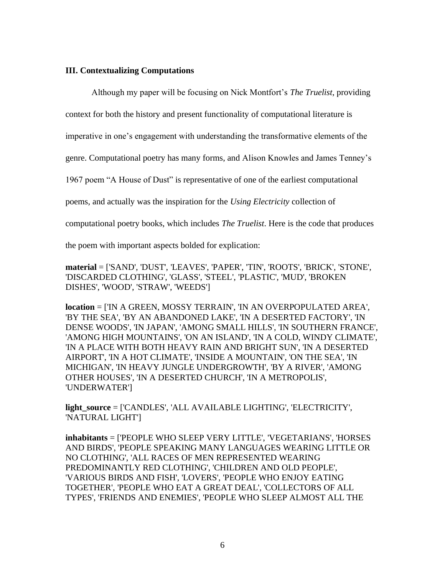## **III. Contextualizing Computations**

Although my paper will be focusing on Nick Montfort's *The Truelist*, providing

context for both the history and present functionality of computational literature is

imperative in one's engagement with understanding the transformative elements of the

genre. Computational poetry has many forms, and Alison Knowles and James Tenney's

1967 poem "A House of Dust" is representative of one of the earliest computational

poems, and actually was the inspiration for the *Using Electricity* collection of

computational poetry books, which includes *The Truelist*. Here is the code that produces

the poem with important aspects bolded for explication:

**material** = ['SAND', 'DUST', 'LEAVES', 'PAPER', 'TIN', 'ROOTS', 'BRICK', 'STONE', 'DISCARDED CLOTHING', 'GLASS', 'STEEL', 'PLASTIC', 'MUD', 'BROKEN DISHES', 'WOOD', 'STRAW', 'WEEDS']

**location** = ['IN A GREEN, MOSSY TERRAIN', 'IN AN OVERPOPULATED AREA', 'BY THE SEA', 'BY AN ABANDONED LAKE', 'IN A DESERTED FACTORY', 'IN DENSE WOODS', 'IN JAPAN', 'AMONG SMALL HILLS', 'IN SOUTHERN FRANCE', 'AMONG HIGH MOUNTAINS', 'ON AN ISLAND', 'IN A COLD, WINDY CLIMATE', 'IN A PLACE WITH BOTH HEAVY RAIN AND BRIGHT SUN', 'IN A DESERTED AIRPORT', 'IN A HOT CLIMATE', 'INSIDE A MOUNTAIN', 'ON THE SEA', 'IN MICHIGAN', 'IN HEAVY JUNGLE UNDERGROWTH', 'BY A RIVER', 'AMONG OTHER HOUSES', 'IN A DESERTED CHURCH', 'IN A METROPOLIS', 'UNDERWATER']

**light\_source** = ['CANDLES', 'ALL AVAILABLE LIGHTING', 'ELECTRICITY', 'NATURAL LIGHT']

**inhabitants** = ['PEOPLE WHO SLEEP VERY LITTLE', 'VEGETARIANS', 'HORSES AND BIRDS', 'PEOPLE SPEAKING MANY LANGUAGES WEARING LITTLE OR NO CLOTHING', 'ALL RACES OF MEN REPRESENTED WEARING PREDOMINANTLY RED CLOTHING', 'CHILDREN AND OLD PEOPLE', 'VARIOUS BIRDS AND FISH', 'LOVERS', 'PEOPLE WHO ENJOY EATING TOGETHER', 'PEOPLE WHO EAT A GREAT DEAL', 'COLLECTORS OF ALL TYPES', 'FRIENDS AND ENEMIES', 'PEOPLE WHO SLEEP ALMOST ALL THE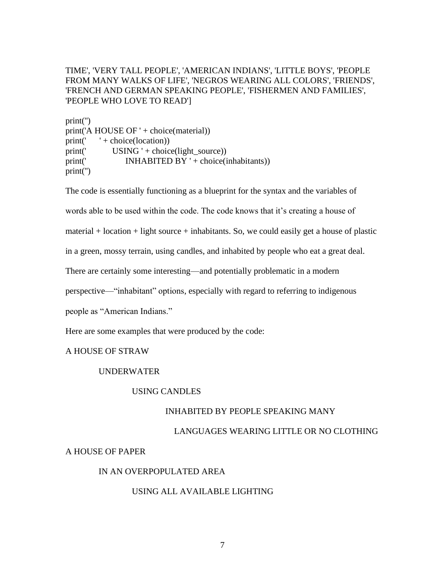# TIME', 'VERY TALL PEOPLE', 'AMERICAN INDIANS', 'LITTLE BOYS', 'PEOPLE FROM MANY WALKS OF LIFE', 'NEGROS WEARING ALL COLORS', 'FRIENDS', 'FRENCH AND GERMAN SPEAKING PEOPLE', 'FISHERMEN AND FAMILIES', 'PEOPLE WHO LOVE TO READ']

print('') print('A HOUSE OF ' + choice(material))  $print(' + choice(location))$ print(' USING ' + choice(light\_source)) print(' INHABITED BY ' + choice(inhabitants)) print('')

The code is essentially functioning as a blueprint for the syntax and the variables of words able to be used within the code. The code knows that it's creating a house of material  $+$  location  $+$  light source  $+$  inhabitants. So, we could easily get a house of plastic in a green, mossy terrain, using candles, and inhabited by people who eat a great deal. There are certainly some interesting—and potentially problematic in a modern perspective—"inhabitant" options, especially with regard to referring to indigenous people as "American Indians."

Here are some examples that were produced by the code:

# A HOUSE OF STRAW

# UNDERWATER

# USING CANDLES

# INHABITED BY PEOPLE SPEAKING MANY

#### LANGUAGES WEARING LITTLE OR NO CLOTHING

# A HOUSE OF PAPER

# IN AN OVERPOPULATED AREA

# USING ALL AVAILABLE LIGHTING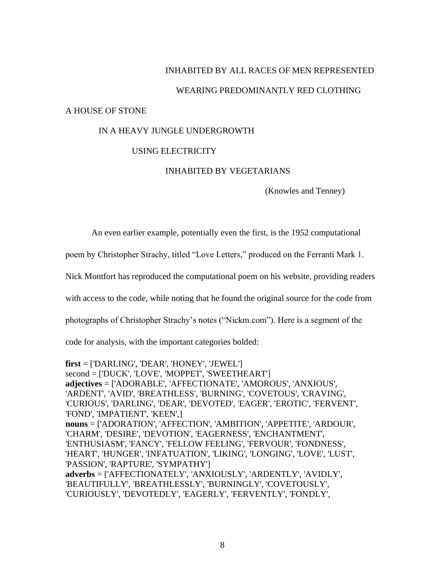### INHABITED BY ALL RACES OF MEN REPRESENTED

#### WEARING PREDOMINANTLY RED CLOTHING

#### A HOUSE OF STONE

#### IN A HEAVY JUNGLE UNDERGROWTH

## USING ELECTRICITY

#### INHABITED BY VEGETARIANS

(Knowles and Tenney)

An even earlier example, potentially even the first, is the 1952 computational

poem by Christopher Strachy, titled "Love Letters," produced on the Ferranti Mark 1.

Nick Montfort has reproduced the computational poem on his website, providing readers

with access to the code, while noting that he found the original source for the code from

photographs of Christopher Strachy's notes ("Nickm.com"). Here is a segment of the

code for analysis, with the important categories bolded:

**first** = ['DARLING', 'DEAR', 'HONEY', 'JEWEL'] second = ['DUCK', 'LOVE', 'MOPPET', 'SWEETHEART'] **adjectives** = ['ADORABLE', 'AFFECTIONATE', 'AMOROUS', 'ANXIOUS', 'ARDENT', 'AVID', 'BREATHLESS', 'BURNING', 'COVETOUS', 'CRAVING', 'CURIOUS', 'DARLING', 'DEAR', 'DEVOTED', 'EAGER', 'EROTIC', 'FERVENT', 'FOND', 'IMPATIENT', 'KEEN',] **nouns** = ['ADORATION', 'AFFECTION', 'AMBITION', 'APPETITE', 'ARDOUR', 'CHARM', 'DESIRE', 'DEVOTION', 'EAGERNESS', 'ENCHANTMENT', 'ENTHUSIASM', 'FANCY', 'FELLOW FEELING', 'FERVOUR', 'FONDNESS', 'HEART', 'HUNGER', 'INFATUATION', 'LIKING', 'LONGING', 'LOVE', 'LUST', 'PASSION', 'RAPTURE', 'SYMPATHY'] **adverbs** = ['AFFECTIONATELY', 'ANXIOUSLY', 'ARDENTLY', 'AVIDLY', 'BEAUTIFULLY', 'BREATHLESSLY', 'BURNINGLY', 'COVETOUSLY', 'CURIOUSLY', 'DEVOTEDLY', 'EAGERLY', 'FERVENTLY', 'FONDLY',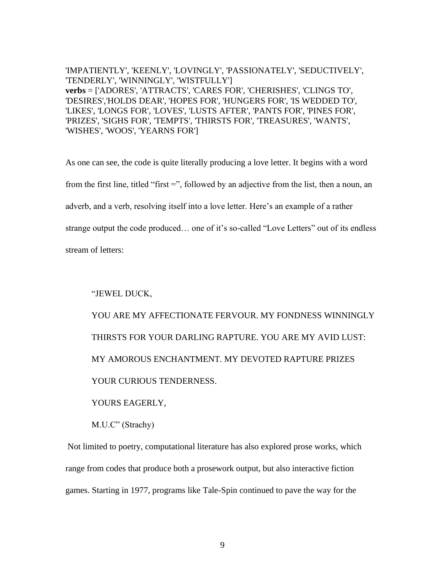'IMPATIENTLY', 'KEENLY', 'LOVINGLY', 'PASSIONATELY', 'SEDUCTIVELY', 'TENDERLY', 'WINNINGLY', 'WISTFULLY'] **verbs** = ['ADORES', 'ATTRACTS', 'CARES FOR', 'CHERISHES', 'CLINGS TO', 'DESIRES','HOLDS DEAR', 'HOPES FOR', 'HUNGERS FOR', 'IS WEDDED TO', 'LIKES', 'LONGS FOR', 'LOVES', 'LUSTS AFTER', 'PANTS FOR', 'PINES FOR', 'PRIZES', 'SIGHS FOR', 'TEMPTS', 'THIRSTS FOR', 'TREASURES', 'WANTS', 'WISHES', 'WOOS', 'YEARNS FOR']

As one can see, the code is quite literally producing a love letter. It begins with a word from the first line, titled "first =", followed by an adjective from the list, then a noun, an adverb, and a verb, resolving itself into a love letter. Here's an example of a rather strange output the code produced… one of it's so-called "Love Letters" out of its endless stream of letters:

"JEWEL DUCK,

YOU ARE MY AFFECTIONATE FERVOUR. MY FONDNESS WINNINGLY THIRSTS FOR YOUR DARLING RAPTURE. YOU ARE MY AVID LUST: MY AMOROUS ENCHANTMENT. MY DEVOTED RAPTURE PRIZES YOUR CURIOUS TENDERNESS.

YOURS EAGERLY,

M.U.C" (Strachy)

Not limited to poetry, computational literature has also explored prose works, which range from codes that produce both a prosework output, but also interactive fiction games. Starting in 1977, programs like Tale-Spin continued to pave the way for the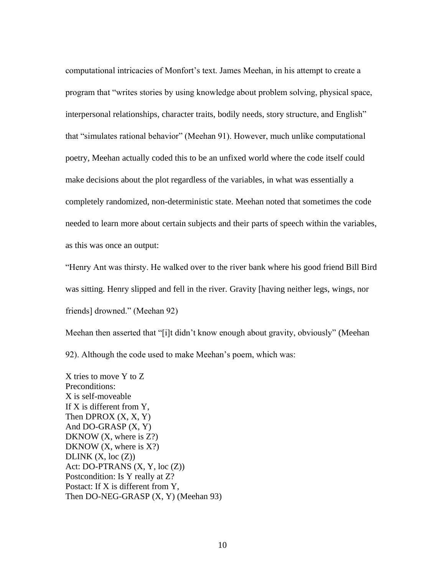computational intricacies of Monfort's text. James Meehan, in his attempt to create a program that "writes stories by using knowledge about problem solving, physical space, interpersonal relationships, character traits, bodily needs, story structure, and English" that "simulates rational behavior" (Meehan 91). However, much unlike computational poetry, Meehan actually coded this to be an unfixed world where the code itself could make decisions about the plot regardless of the variables, in what was essentially a completely randomized, non-deterministic state. Meehan noted that sometimes the code needed to learn more about certain subjects and their parts of speech within the variables, as this was once an output:

"Henry Ant was thirsty. He walked over to the river bank where his good friend Bill Bird was sitting. Henry slipped and fell in the river. Gravity [having neither legs, wings, nor friends] drowned." (Meehan 92)

Meehan then asserted that "[i]t didn't know enough about gravity, obviously" (Meehan 92). Although the code used to make Meehan's poem, which was:

X tries to move Y to Z Preconditions: X is self-moveable If X is different from Y, Then DPROX  $(X, X, Y)$ And DO-GRASP (X, Y) DKNOW (X, where is Z?) DKNOW  $(X,$  where is  $X$ ?) DLINK  $(X, loc(Z))$ Act: DO-PTRANS  $(X, Y, loc(Z))$ Postcondition: Is Y really at Z? Postact: If X is different from Y, Then DO-NEG-GRASP (X, Y) (Meehan 93)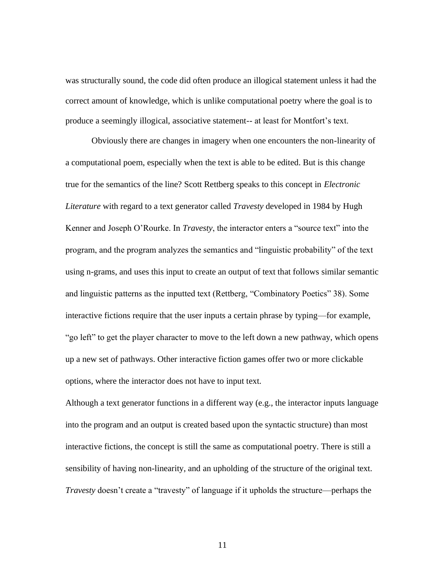was structurally sound, the code did often produce an illogical statement unless it had the correct amount of knowledge, which is unlike computational poetry where the goal is to produce a seemingly illogical, associative statement-- at least for Montfort's text.

Obviously there are changes in imagery when one encounters the non-linearity of a computational poem, especially when the text is able to be edited. But is this change true for the semantics of the line? Scott Rettberg speaks to this concept in *Electronic Literature* with regard to a text generator called *Travesty* developed in 1984 by Hugh Kenner and Joseph O'Rourke. In *Travesty*, the interactor enters a "source text" into the program, and the program analyzes the semantics and "linguistic probability" of the text using n-grams, and uses this input to create an output of text that follows similar semantic and linguistic patterns as the inputted text (Rettberg, "Combinatory Poetics" 38). Some interactive fictions require that the user inputs a certain phrase by typing—for example, "go left" to get the player character to move to the left down a new pathway, which opens up a new set of pathways. Other interactive fiction games offer two or more clickable options, where the interactor does not have to input text.

Although a text generator functions in a different way (e.g., the interactor inputs language into the program and an output is created based upon the syntactic structure) than most interactive fictions, the concept is still the same as computational poetry. There is still a sensibility of having non-linearity, and an upholding of the structure of the original text. *Travesty* doesn't create a "travesty" of language if it upholds the structure—perhaps the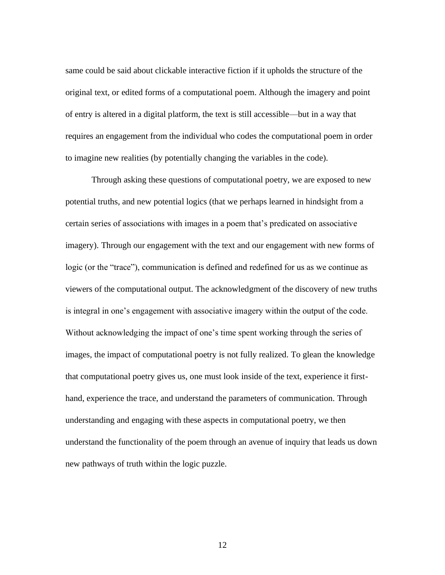same could be said about clickable interactive fiction if it upholds the structure of the original text, or edited forms of a computational poem. Although the imagery and point of entry is altered in a digital platform, the text is still accessible—but in a way that requires an engagement from the individual who codes the computational poem in order to imagine new realities (by potentially changing the variables in the code).

Through asking these questions of computational poetry, we are exposed to new potential truths, and new potential logics (that we perhaps learned in hindsight from a certain series of associations with images in a poem that's predicated on associative imagery). Through our engagement with the text and our engagement with new forms of logic (or the "trace"), communication is defined and redefined for us as we continue as viewers of the computational output. The acknowledgment of the discovery of new truths is integral in one's engagement with associative imagery within the output of the code. Without acknowledging the impact of one's time spent working through the series of images, the impact of computational poetry is not fully realized. To glean the knowledge that computational poetry gives us, one must look inside of the text, experience it firsthand, experience the trace, and understand the parameters of communication. Through understanding and engaging with these aspects in computational poetry, we then understand the functionality of the poem through an avenue of inquiry that leads us down new pathways of truth within the logic puzzle.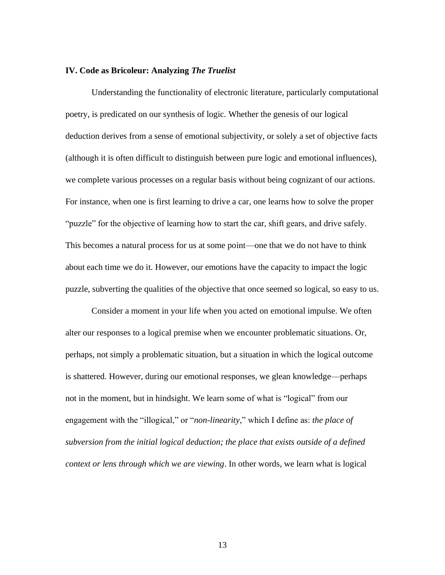#### **IV. Code as Bricoleur: Analyzing** *The Truelist*

Understanding the functionality of electronic literature, particularly computational poetry, is predicated on our synthesis of logic. Whether the genesis of our logical deduction derives from a sense of emotional subjectivity, or solely a set of objective facts (although it is often difficult to distinguish between pure logic and emotional influences), we complete various processes on a regular basis without being cognizant of our actions. For instance, when one is first learning to drive a car, one learns how to solve the proper "puzzle" for the objective of learning how to start the car, shift gears, and drive safely. This becomes a natural process for us at some point—one that we do not have to think about each time we do it. However, our emotions have the capacity to impact the logic puzzle, subverting the qualities of the objective that once seemed so logical, so easy to us.

Consider a moment in your life when you acted on emotional impulse. We often alter our responses to a logical premise when we encounter problematic situations. Or, perhaps, not simply a problematic situation, but a situation in which the logical outcome is shattered. However, during our emotional responses, we glean knowledge—perhaps not in the moment, but in hindsight. We learn some of what is "logical" from our engagement with the "illogical," or "*non-linearity*," which I define as: *the place of subversion from the initial logical deduction; the place that exists outside of a defined context or lens through which we are viewing*. In other words, we learn what is logical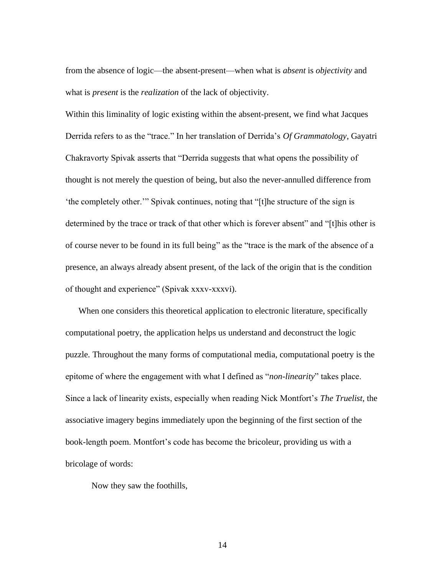from the absence of logic—the absent-present—when what is *absent* is *objectivity* and what is *present* is the *realization* of the lack of objectivity.

Within this liminality of logic existing within the absent-present, we find what Jacques Derrida refers to as the "trace." In her translation of Derrida's *Of Grammatology*, Gayatri Chakravorty Spivak asserts that "Derrida suggests that what opens the possibility of thought is not merely the question of being, but also the never-annulled difference from 'the completely other.'" Spivak continues, noting that "[t]he structure of the sign is determined by the trace or track of that other which is forever absent" and "[t]his other is of course never to be found in its full being" as the "trace is the mark of the absence of a presence, an always already absent present, of the lack of the origin that is the condition of thought and experience" (Spivak xxxv-xxxvi).

 When one considers this theoretical application to electronic literature, specifically computational poetry, the application helps us understand and deconstruct the logic puzzle. Throughout the many forms of computational media, computational poetry is the epitome of where the engagement with what I defined as "*non-linearity*" takes place. Since a lack of linearity exists, especially when reading Nick Montfort's *The Truelist*, the associative imagery begins immediately upon the beginning of the first section of the book-length poem. Montfort's code has become the bricoleur, providing us with a bricolage of words:

Now they saw the foothills,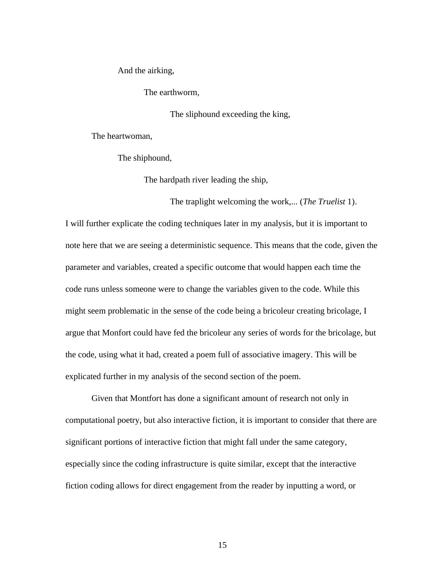And the airking,

The earthworm,

The sliphound exceeding the king,

The traplight welcoming the work,... (*The Truelist* 1).

The heartwoman,

The shiphound,

The hardpath river leading the ship,

I will further explicate the coding techniques later in my analysis, but it is important to note here that we are seeing a deterministic sequence. This means that the code, given the parameter and variables, created a specific outcome that would happen each time the code runs unless someone were to change the variables given to the code. While this might seem problematic in the sense of the code being a bricoleur creating bricolage, I argue that Monfort could have fed the bricoleur any series of words for the bricolage, but the code, using what it had, created a poem full of associative imagery. This will be explicated further in my analysis of the second section of the poem.

Given that Montfort has done a significant amount of research not only in computational poetry, but also interactive fiction, it is important to consider that there are significant portions of interactive fiction that might fall under the same category, especially since the coding infrastructure is quite similar, except that the interactive fiction coding allows for direct engagement from the reader by inputting a word, or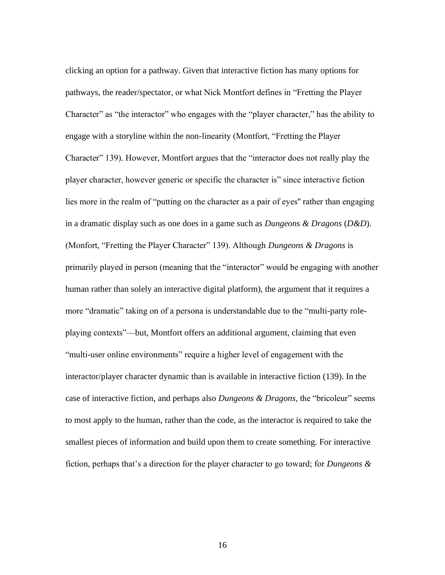clicking an option for a pathway. Given that interactive fiction has many options for pathways, the reader/spectator, or what Nick Montfort defines in "Fretting the Player Character" as "the interactor" who engages with the "player character," has the ability to engage with a storyline within the non-linearity (Montfort, "Fretting the Player Character" 139). However, Montfort argues that the "interactor does not really play the player character, however generic or specific the character is" since interactive fiction lies more in the realm of "putting on the character as a pair of eyes'' rather than engaging in a dramatic display such as one does in a game such as *Dungeons & Dragons* (*D&D*). (Monfort, "Fretting the Player Character" 139). Although *Dungeons & Dragons* is primarily played in person (meaning that the "interactor" would be engaging with another human rather than solely an interactive digital platform), the argument that it requires a more "dramatic" taking on of a persona is understandable due to the "multi-party roleplaying contexts"—but, Montfort offers an additional argument, claiming that even "multi-user online environments" require a higher level of engagement with the interactor/player character dynamic than is available in interactive fiction (139). In the case of interactive fiction, and perhaps also *Dungeons & Dragons*, the "bricoleur" seems to most apply to the human, rather than the code, as the interactor is required to take the smallest pieces of information and build upon them to create something. For interactive fiction, perhaps that's a direction for the player character to go toward; for *Dungeons &*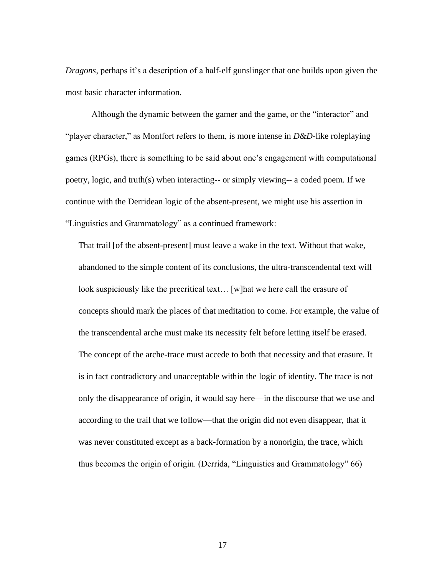*Dragons*, perhaps it's a description of a half-elf gunslinger that one builds upon given the most basic character information.

Although the dynamic between the gamer and the game, or the "interactor" and "player character," as Montfort refers to them, is more intense in *D&D*-like roleplaying games (RPGs), there is something to be said about one's engagement with computational poetry, logic, and truth(s) when interacting-- or simply viewing-- a coded poem. If we continue with the Derridean logic of the absent-present, we might use his assertion in "Linguistics and Grammatology" as a continued framework:

That trail [of the absent-present] must leave a wake in the text. Without that wake, abandoned to the simple content of its conclusions, the ultra-transcendental text will look suspiciously like the precritical text… [w]hat we here call the erasure of concepts should mark the places of that meditation to come. For example, the value of the transcendental arche must make its necessity felt before letting itself be erased. The concept of the arche-trace must accede to both that necessity and that erasure. It is in fact contradictory and unacceptable within the logic of identity. The trace is not only the disappearance of origin, it would say here—in the discourse that we use and according to the trail that we follow—that the origin did not even disappear, that it was never constituted except as a back-formation by a nonorigin, the trace, which thus becomes the origin of origin. (Derrida, "Linguistics and Grammatology" 66)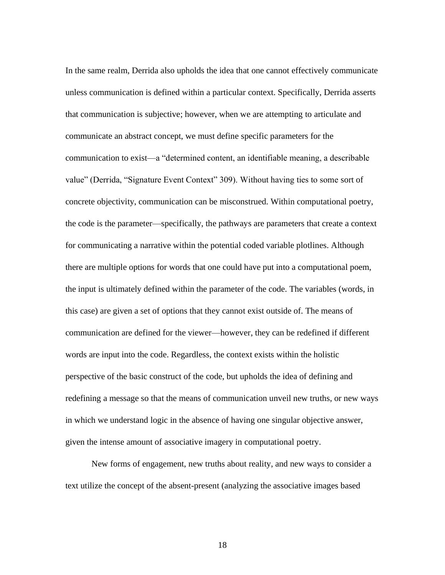In the same realm, Derrida also upholds the idea that one cannot effectively communicate unless communication is defined within a particular context. Specifically, Derrida asserts that communication is subjective; however, when we are attempting to articulate and communicate an abstract concept, we must define specific parameters for the communication to exist—a "determined content, an identifiable meaning, a describable value" (Derrida, "Signature Event Context" 309). Without having ties to some sort of concrete objectivity, communication can be misconstrued. Within computational poetry, the code is the parameter—specifically, the pathways are parameters that create a context for communicating a narrative within the potential coded variable plotlines. Although there are multiple options for words that one could have put into a computational poem, the input is ultimately defined within the parameter of the code. The variables (words, in this case) are given a set of options that they cannot exist outside of. The means of communication are defined for the viewer—however, they can be redefined if different words are input into the code. Regardless, the context exists within the holistic perspective of the basic construct of the code, but upholds the idea of defining and redefining a message so that the means of communication unveil new truths, or new ways in which we understand logic in the absence of having one singular objective answer, given the intense amount of associative imagery in computational poetry.

 New forms of engagement, new truths about reality, and new ways to consider a text utilize the concept of the absent-present (analyzing the associative images based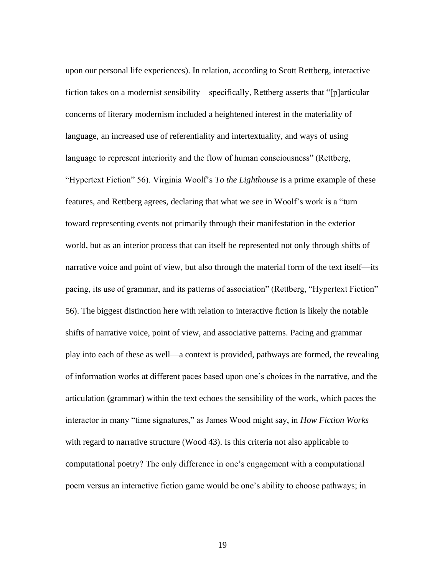upon our personal life experiences). In relation, according to Scott Rettberg, interactive fiction takes on a modernist sensibility—specifically, Rettberg asserts that "[p]articular concerns of literary modernism included a heightened interest in the materiality of language, an increased use of referentiality and intertextuality, and ways of using language to represent interiority and the flow of human consciousness" (Rettberg, "Hypertext Fiction" 56). Virginia Woolf's *To the Lighthouse* is a prime example of these features, and Rettberg agrees, declaring that what we see in Woolf's work is a "turn toward representing events not primarily through their manifestation in the exterior world, but as an interior process that can itself be represented not only through shifts of narrative voice and point of view, but also through the material form of the text itself—its pacing, its use of grammar, and its patterns of association" (Rettberg, "Hypertext Fiction" 56). The biggest distinction here with relation to interactive fiction is likely the notable shifts of narrative voice, point of view, and associative patterns. Pacing and grammar play into each of these as well—a context is provided, pathways are formed, the revealing of information works at different paces based upon one's choices in the narrative, and the articulation (grammar) within the text echoes the sensibility of the work, which paces the interactor in many "time signatures," as James Wood might say, in *How Fiction Works*  with regard to narrative structure (Wood 43). Is this criteria not also applicable to computational poetry? The only difference in one's engagement with a computational poem versus an interactive fiction game would be one's ability to choose pathways; in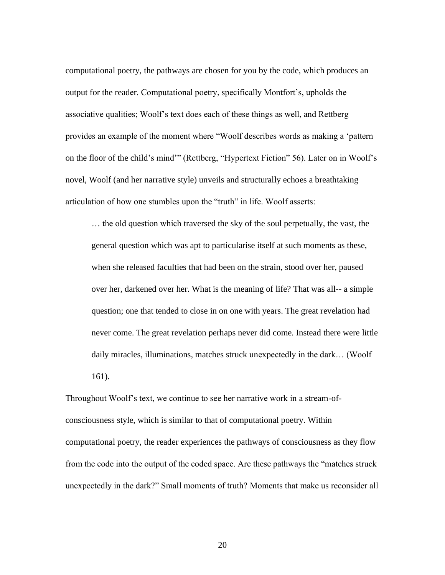computational poetry, the pathways are chosen for you by the code, which produces an output for the reader. Computational poetry, specifically Montfort's, upholds the associative qualities; Woolf's text does each of these things as well, and Rettberg provides an example of the moment where "Woolf describes words as making a 'pattern on the floor of the child's mind'" (Rettberg, "Hypertext Fiction" 56). Later on in Woolf's novel, Woolf (and her narrative style) unveils and structurally echoes a breathtaking articulation of how one stumbles upon the "truth" in life. Woolf asserts:

… the old question which traversed the sky of the soul perpetually, the vast, the general question which was apt to particularise itself at such moments as these, when she released faculties that had been on the strain, stood over her, paused over her, darkened over her. What is the meaning of life? That was all-- a simple question; one that tended to close in on one with years. The great revelation had never come. The great revelation perhaps never did come. Instead there were little daily miracles, illuminations, matches struck unexpectedly in the dark… (Woolf 161).

Throughout Woolf's text, we continue to see her narrative work in a stream-ofconsciousness style, which is similar to that of computational poetry. Within computational poetry, the reader experiences the pathways of consciousness as they flow from the code into the output of the coded space. Are these pathways the "matches struck unexpectedly in the dark?" Small moments of truth? Moments that make us reconsider all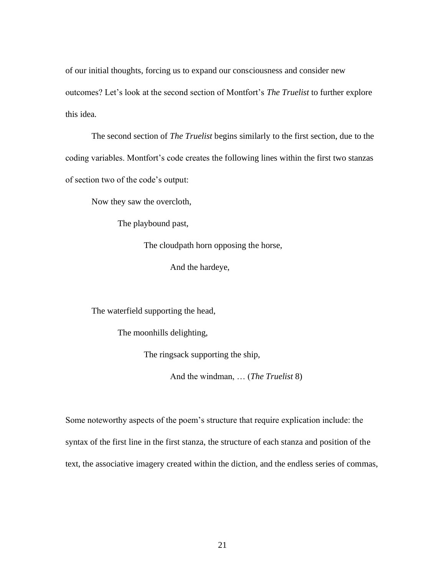of our initial thoughts, forcing us to expand our consciousness and consider new outcomes? Let's look at the second section of Montfort's *The Truelist* to further explore this idea.

The second section of *The Truelist* begins similarly to the first section, due to the coding variables. Montfort's code creates the following lines within the first two stanzas of section two of the code's output:

Now they saw the overcloth,

The playbound past,

The cloudpath horn opposing the horse,

And the hardeye,

The waterfield supporting the head,

The moonhills delighting,

The ringsack supporting the ship,

And the windman, … (*The Truelist* 8)

Some noteworthy aspects of the poem's structure that require explication include: the syntax of the first line in the first stanza, the structure of each stanza and position of the text, the associative imagery created within the diction, and the endless series of commas,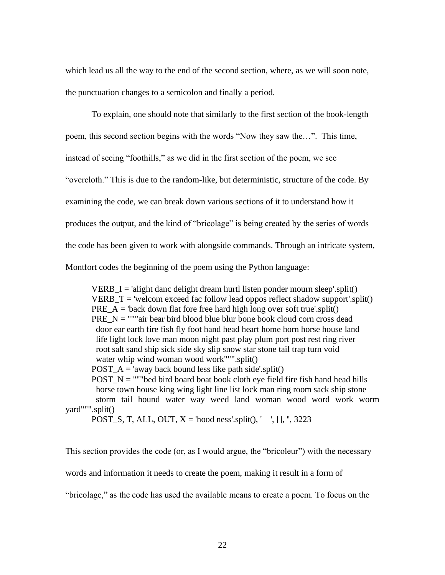which lead us all the way to the end of the second section, where, as we will soon note, the punctuation changes to a semicolon and finally a period.

To explain, one should note that similarly to the first section of the book-length poem, this second section begins with the words "Now they saw the…". This time, instead of seeing "foothills," as we did in the first section of the poem, we see "overcloth." This is due to the random-like, but deterministic, structure of the code. By examining the code, we can break down various sections of it to understand how it produces the output, and the kind of "bricolage" is being created by the series of words the code has been given to work with alongside commands. Through an intricate system, Montfort codes the beginning of the poem using the Python language:

VERB  $I =$ 'alight danc delight dream hurtl listen ponder mourn sleep'.split() VERB\_T = 'welcom exceed fac follow lead oppos reflect shadow support'.split() PRE  $A = 'back down flat force free hard high long over soft true'.split()$ PRE  $N =$  """air bear bird blood blue blur bone book cloud corn cross dead door ear earth fire fish fly foot hand head heart home horn horse house land life light lock love man moon night past play plum port post rest ring river root salt sand ship sick side sky slip snow star stone tail trap turn void water whip wind woman wood work""".split() POST  $A = 'away$  back bound less like path side'.split() POST  $N =$  ""bed bird board boat book cloth eye field fire fish hand head hills horse town house king wing light line list lock man ring room sack ship stone storm tail hound water way weed land woman wood word work worm yard""".split() POST\_S, T, ALL, OUT,  $X =$  'hood ness'.split(), ', [], ", 3223

This section provides the code (or, as I would argue, the "bricoleur") with the necessary words and information it needs to create the poem, making it result in a form of "bricolage," as the code has used the available means to create a poem. To focus on the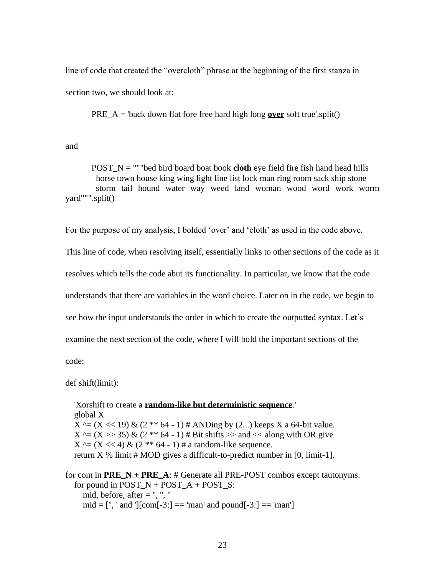line of code that created the "overcloth" phrase at the beginning of the first stanza in section two, we should look at:

PRE\_A = 'back down flat fore free hard high long **over** soft true'.split()

and

POST\_N = """bed bird board boat book **cloth** eye field fire fish hand head hills horse town house king wing light line list lock man ring room sack ship stone storm tail hound water way weed land woman wood word work worm yard""".split()

For the purpose of my analysis, I bolded 'over' and 'cloth' as used in the code above.

This line of code, when resolving itself, essentially links to other sections of the code as it

resolves which tells the code abut its functionality. In particular, we know that the code

understands that there are variables in the word choice. Later on in the code, we begin to

see how the input understands the order in which to create the outputted syntax. Let's

examine the next section of the code, where I will bold the important sections of the

code:

def shift(limit):

 'Xorshift to create a **random-like but deterministic sequence**.' global X  $X^{\wedge} = (X \ll 19) \& (2^{**} 64 - 1) \#$  ANDing by (2...) keeps X a 64-bit value.  $X^{\wedge} = (X \gg 35) \& (2^{**} 64 - 1) \# \text{Bit shifts} \gg \text{and} \ll \text{along with OR give}$  $X^{\wedge} = (X \ll 4) \& (2^{**} 64 - 1) \# a$  random-like sequence. return  $X$  % limit # MOD gives a difficult-to-predict number in [0, limit-1].

for com in  $\mathbf{PRE\_N} + \mathbf{PRE\_A}$ : # Generate all PRE-POST combos except tautonyms. for pound in  $POST\_N + POST\_A + POST\_S$ : mid, before, after  $=$  ", ", "  $mid = [\text{''}, \text{'} and \text{''}][com[-3:] == 'man' and pound[-3:] == 'man']$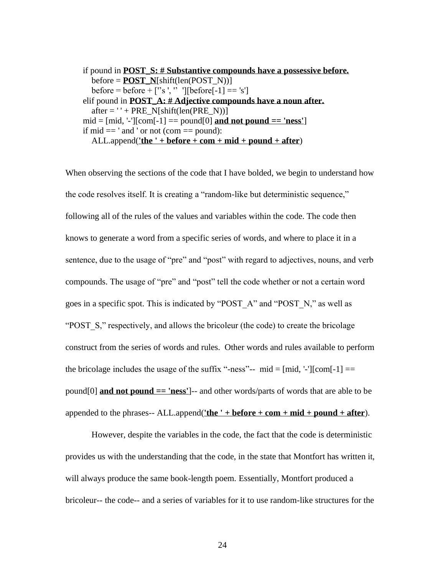```
 if pound in POST_S: # Substantive compounds have a possessive before.
  before = <b>POST</b> N[shift(len(POST N))]before = before + ["s ', " \text{ } "][before[-1] == 's']
 elif pound in POST_A: # Adjective compounds have a noun after.
  after = <b>'</b> + PRE_N[shift(len(PRE_N))]mid = [mid, -1][com[-1]] == pound[0] and not pound =='ness']
if mid == ' and ' or not (com  == pound):
   ALL.append('the ' + before + com + mid + pound + after)
```
When observing the sections of the code that I have bolded, we begin to understand how the code resolves itself. It is creating a "random-like but deterministic sequence," following all of the rules of the values and variables within the code. The code then knows to generate a word from a specific series of words, and where to place it in a sentence, due to the usage of "pre" and "post" with regard to adjectives, nouns, and verb compounds. The usage of "pre" and "post" tell the code whether or not a certain word goes in a specific spot. This is indicated by "POST\_A" and "POST\_N," as well as "POST\_S," respectively, and allows the bricoleur (the code) to create the bricolage construct from the series of words and rules. Other words and rules available to perform the bricolage includes the usage of the suffix "-ness"-- mid =  $[mid, -]$ [com $[-1]$ ] == pound[0] **and not pound == 'ness'**]-- and other words/parts of words that are able to be appended to the phrases-- ALL.append(**'the ' + before + com + mid + pound + after**).

However, despite the variables in the code, the fact that the code is deterministic provides us with the understanding that the code, in the state that Montfort has written it, will always produce the same book-length poem. Essentially, Montfort produced a bricoleur-- the code-- and a series of variables for it to use random-like structures for the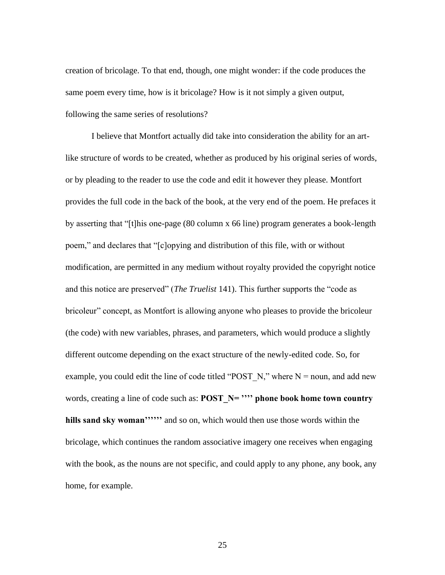creation of bricolage. To that end, though, one might wonder: if the code produces the same poem every time, how is it bricolage? How is it not simply a given output, following the same series of resolutions?

I believe that Montfort actually did take into consideration the ability for an artlike structure of words to be created, whether as produced by his original series of words, or by pleading to the reader to use the code and edit it however they please. Montfort provides the full code in the back of the book, at the very end of the poem. He prefaces it by asserting that "[t]his one-page (80 column x 66 line) program generates a book-length poem," and declares that "[c]opying and distribution of this file, with or without modification, are permitted in any medium without royalty provided the copyright notice and this notice are preserved" (*The Truelist* 141). This further supports the "code as bricoleur" concept, as Montfort is allowing anyone who pleases to provide the bricoleur (the code) with new variables, phrases, and parameters, which would produce a slightly different outcome depending on the exact structure of the newly-edited code. So, for example, you could edit the line of code titled "POST  $N$ ," where N = noun, and add new words, creating a line of code such as: **POST\_N= '''' phone book home town country hills sand sky woman''''''** and so on, which would then use those words within the bricolage, which continues the random associative imagery one receives when engaging with the book, as the nouns are not specific, and could apply to any phone, any book, any home, for example.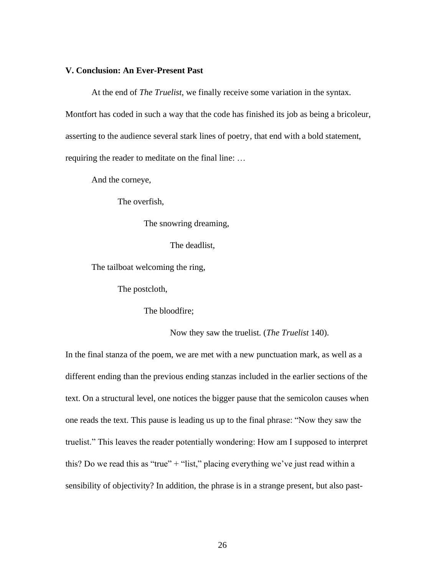## **V. Conclusion: An Ever-Present Past**

At the end of *The Truelist*, we finally receive some variation in the syntax.

Montfort has coded in such a way that the code has finished its job as being a bricoleur,

asserting to the audience several stark lines of poetry, that end with a bold statement,

requiring the reader to meditate on the final line: …

And the corneye,

The overfish,

The snowring dreaming,

The deadlist,

The tailboat welcoming the ring,

The postcloth,

The bloodfire;

Now they saw the truelist. (*The Truelist* 140).

In the final stanza of the poem, we are met with a new punctuation mark, as well as a different ending than the previous ending stanzas included in the earlier sections of the text. On a structural level, one notices the bigger pause that the semicolon causes when one reads the text. This pause is leading us up to the final phrase: "Now they saw the truelist." This leaves the reader potentially wondering: How am I supposed to interpret this? Do we read this as "true" + "list," placing everything we've just read within a sensibility of objectivity? In addition, the phrase is in a strange present, but also past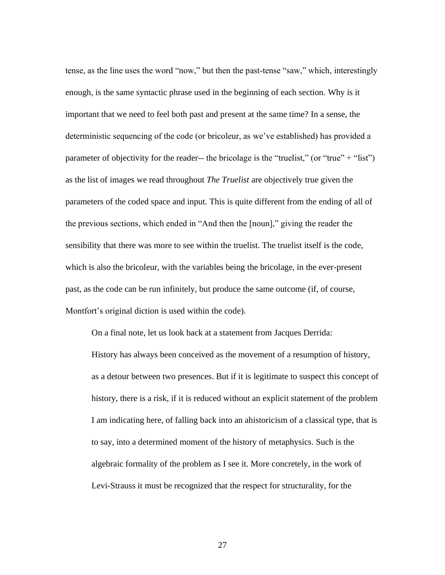tense, as the line uses the word "now," but then the past-tense "saw," which, interestingly enough, is the same syntactic phrase used in the beginning of each section. Why is it important that we need to feel both past and present at the same time? In a sense, the deterministic sequencing of the code (or bricoleur, as we've established) has provided a parameter of objectivity for the reader-- the bricolage is the "truelist," (or "true" + "list") as the list of images we read throughout *The Truelist* are objectively true given the parameters of the coded space and input. This is quite different from the ending of all of the previous sections, which ended in "And then the [noun]," giving the reader the sensibility that there was more to see within the truelist. The truelist itself is the code, which is also the bricoleur, with the variables being the bricolage, in the ever-present past, as the code can be run infinitely, but produce the same outcome (if, of course, Montfort's original diction is used within the code).

On a final note, let us look back at a statement from Jacques Derrida: History has always been conceived as the movement of a resumption of history, as a detour between two presences. But if it is legitimate to suspect this concept of history, there is a risk, if it is reduced without an explicit statement of the problem I am indicating here, of falling back into an ahistoricism of a classical type, that is to say, into a determined moment of the history of metaphysics. Such is the algebraic formality of the problem as I see it. More concretely, in the work of Levi-Strauss it must be recognized that the respect for structurality, for the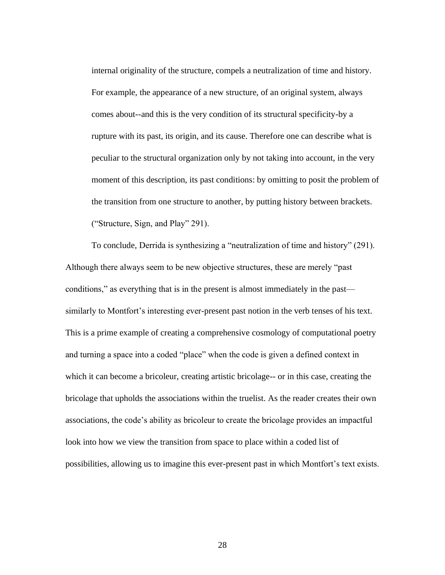internal originality of the structure, compels a neutralization of time and history. For example, the appearance of a new structure, of an original system, always comes about--and this is the very condition of its structural specificity-by a rupture with its past, its origin, and its cause. Therefore one can describe what is peculiar to the structural organization only by not taking into account, in the very moment of this description, its past conditions: by omitting to posit the problem of the transition from one structure to another, by putting history between brackets. ("Structure, Sign, and Play" 291).

To conclude, Derrida is synthesizing a "neutralization of time and history" (291). Although there always seem to be new objective structures, these are merely "past conditions," as everything that is in the present is almost immediately in the past similarly to Montfort's interesting ever-present past notion in the verb tenses of his text. This is a prime example of creating a comprehensive cosmology of computational poetry and turning a space into a coded "place" when the code is given a defined context in which it can become a bricoleur, creating artistic bricolage-- or in this case, creating the bricolage that upholds the associations within the truelist. As the reader creates their own associations, the code's ability as bricoleur to create the bricolage provides an impactful look into how we view the transition from space to place within a coded list of possibilities, allowing us to imagine this ever-present past in which Montfort's text exists.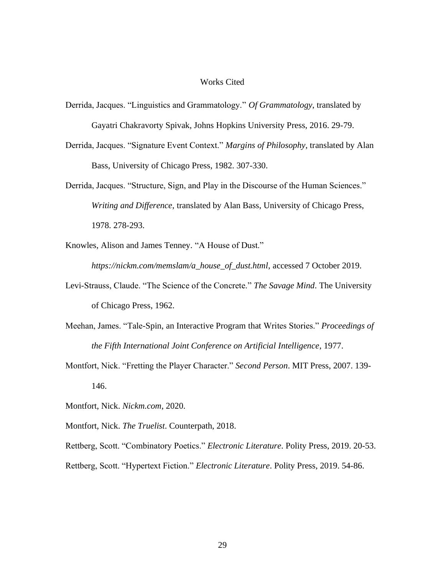#### Works Cited

- Derrida, Jacques. "Linguistics and Grammatology." *Of Grammatology*, translated by Gayatri Chakravorty Spivak, Johns Hopkins University Press, 2016. 29-79.
- Derrida, Jacques. "Signature Event Context." *Margins of Philosophy*, translated by Alan Bass, University of Chicago Press, 1982. 307-330.
- Derrida, Jacques. "Structure, Sign, and Play in the Discourse of the Human Sciences." *Writing and Difference*, translated by Alan Bass, University of Chicago Press, 1978. 278-293.
- Knowles, Alison and James Tenney. "A House of Dust." *https://nickm.com/memslam/a\_house\_of\_dust.html*, accessed 7 October 2019.
- Levi-Strauss, Claude. "The Science of the Concrete." *The Savage Mind*. The University of Chicago Press, 1962.
- Meehan, James. "Tale-Spin, an Interactive Program that Writes Stories." *Proceedings of the Fifth International Joint Conference on Artificial Intelligence*, 1977.
- Montfort, Nick. "Fretting the Player Character." *Second Person*. MIT Press, 2007. 139- 146.
- Montfort, Nick. *Nickm.com*, 2020.
- Montfort, Nick. *The Truelist*. Counterpath, 2018.

Rettberg, Scott. "Combinatory Poetics." *Electronic Literature*. Polity Press, 2019. 20-53. Rettberg, Scott. "Hypertext Fiction." *Electronic Literature*. Polity Press, 2019. 54-86.